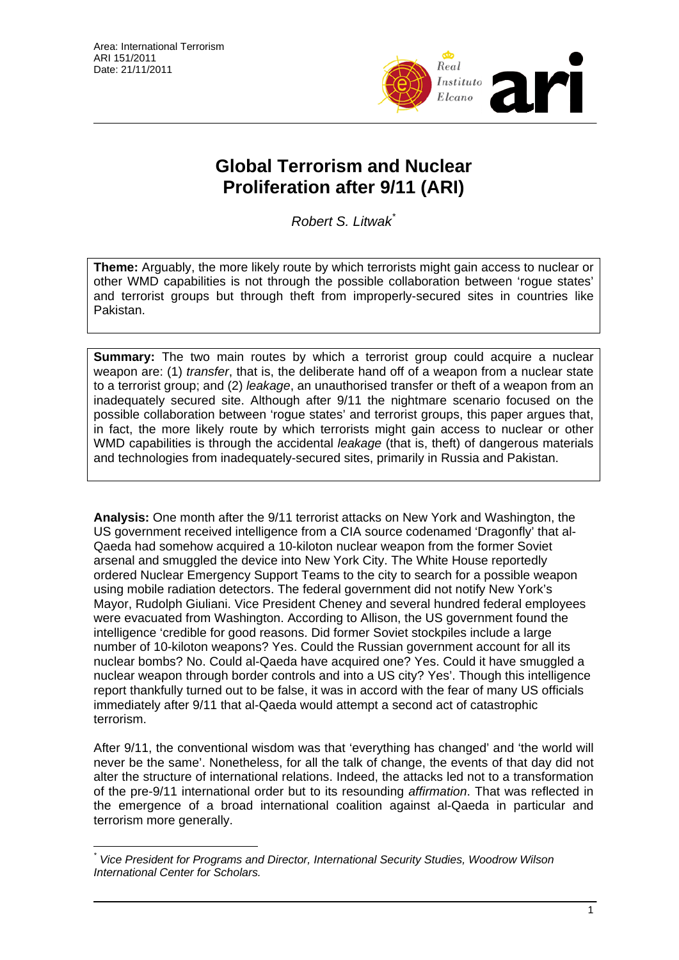

## **Global Terrorism and Nuclear Proliferation after 9/11 (ARI)**

*Robert S. Litwak*[\\*](#page-0-0)

**Theme:** Arguably, the more likely route by which terrorists might gain access to nuclear or other WMD capabilities is not through the possible collaboration between 'rogue states' and terrorist groups but through theft from improperly-secured sites in countries like Pakistan.

**Summary:** The two main routes by which a terrorist group could acquire a nuclear weapon are: (1) *transfer*, that is, the deliberate hand off of a weapon from a nuclear state to a terrorist group; and (2) *leakage*, an unauthorised transfer or theft of a weapon from an inadequately secured site. Although after 9/11 the nightmare scenario focused on the possible collaboration between 'rogue states' and terrorist groups, this paper argues that, in fact, the more likely route by which terrorists might gain access to nuclear or other WMD capabilities is through the accidental *leakage* (that is, theft) of dangerous materials and technologies from inadequately-secured sites, primarily in Russia and Pakistan.

**Analysis:** One month after the 9/11 terrorist attacks on New York and Washington, the US government received intelligence from a CIA source codenamed 'Dragonfly' that al-Qaeda had somehow acquired a 10-kiloton nuclear weapon from the former Soviet arsenal and smuggled the device into New York City. The White House reportedly ordered Nuclear Emergency Support Teams to the city to search for a possible weapon using mobile radiation detectors. The federal government did not notify New York's Mayor, Rudolph Giuliani. Vice President Cheney and several hundred federal employees were evacuated from Washington. According to Allison, the US government found the intelligence 'credible for good reasons. Did former Soviet stockpiles include a large number of 10-kiloton weapons? Yes. Could the Russian government account for all its nuclear bombs? No. Could al-Qaeda have acquired one? Yes. Could it have smuggled a nuclear weapon through border controls and into a US city? Yes'. Though this intelligence report thankfully turned out to be false, it was in accord with the fear of many US officials immediately after 9/11 that al-Qaeda would attempt a second act of catastrophic terrorism.

After 9/11, the conventional wisdom was that 'everything has changed' and 'the world will never be the same'. Nonetheless, for all the talk of change, the events of that day did not alter the structure of international relations. Indeed, the attacks led not to a transformation of the pre-9/11 international order but to its resounding *affirmation*. That was reflected in the emergence of a broad international coalition against al-Qaeda in particular and terrorism more generally.

<span id="page-0-0"></span> $\overline{a}$ *\* Vice President for Programs and Director, International Security Studies, Woodrow Wilson International Center for Scholars.*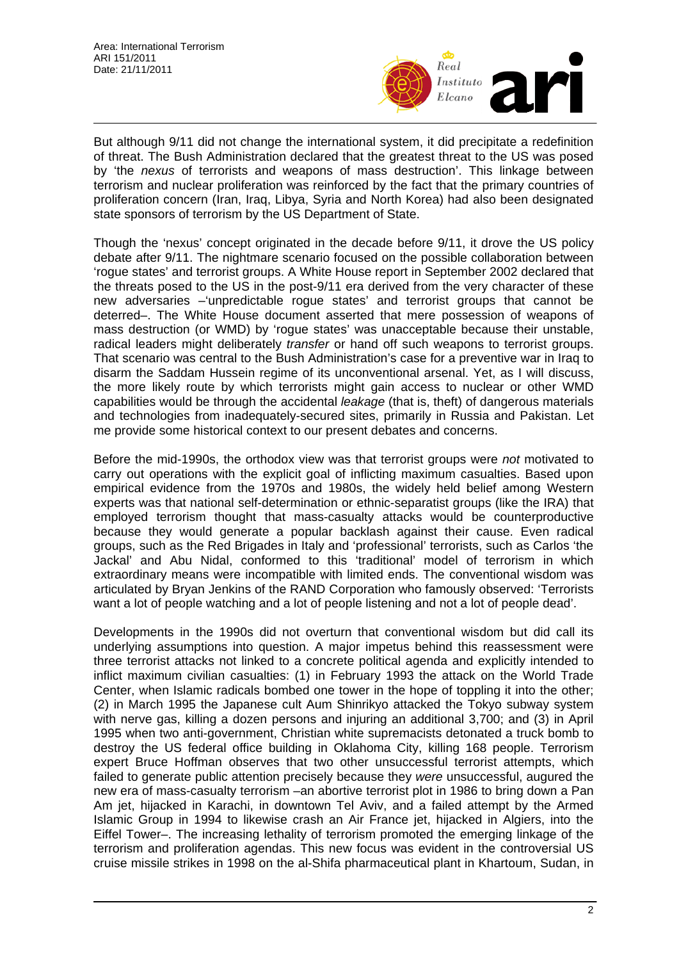

But although 9/11 did not change the international system, it did precipitate a redefinition of threat. The Bush Administration declared that the greatest threat to the US was posed by 'the *nexus* of terrorists and weapons of mass destruction'. This linkage between terrorism and nuclear proliferation was reinforced by the fact that the primary countries of proliferation concern (Iran, Iraq, Libya, Syria and North Korea) had also been designated state sponsors of terrorism by the US Department of State.

Though the 'nexus' concept originated in the decade before 9/11, it drove the US policy debate after 9/11. The nightmare scenario focused on the possible collaboration between 'rogue states' and terrorist groups. A White House report in September 2002 declared that the threats posed to the US in the post-9/11 era derived from the very character of these new adversaries –'unpredictable rogue states' and terrorist groups that cannot be deterred–. The White House document asserted that mere possession of weapons of mass destruction (or WMD) by 'rogue states' was unacceptable because their unstable, radical leaders might deliberately *transfer* or hand off such weapons to terrorist groups. That scenario was central to the Bush Administration's case for a preventive war in Iraq to disarm the Saddam Hussein regime of its unconventional arsenal. Yet, as I will discuss, the more likely route by which terrorists might gain access to nuclear or other WMD capabilities would be through the accidental *leakage* (that is, theft) of dangerous materials and technologies from inadequately-secured sites, primarily in Russia and Pakistan. Let me provide some historical context to our present debates and concerns.

Before the mid-1990s, the orthodox view was that terrorist groups were *not* motivated to carry out operations with the explicit goal of inflicting maximum casualties. Based upon empirical evidence from the 1970s and 1980s, the widely held belief among Western experts was that national self-determination or ethnic-separatist groups (like the IRA) that employed terrorism thought that mass-casualty attacks would be counterproductive because they would generate a popular backlash against their cause. Even radical groups, such as the Red Brigades in Italy and 'professional' terrorists, such as Carlos 'the Jackal' and Abu Nidal, conformed to this 'traditional' model of terrorism in which extraordinary means were incompatible with limited ends. The conventional wisdom was articulated by Bryan Jenkins of the RAND Corporation who famously observed: 'Terrorists want a lot of people watching and a lot of people listening and not a lot of people dead'.

Developments in the 1990s did not overturn that conventional wisdom but did call its underlying assumptions into question. A major impetus behind this reassessment were three terrorist attacks not linked to a concrete political agenda and explicitly intended to inflict maximum civilian casualties: (1) in February 1993 the attack on the World Trade Center, when Islamic radicals bombed one tower in the hope of toppling it into the other; (2) in March 1995 the Japanese cult Aum Shinrikyo attacked the Tokyo subway system with nerve gas, killing a dozen persons and injuring an additional 3,700; and (3) in April 1995 when two anti-government, Christian white supremacists detonated a truck bomb to destroy the US federal office building in Oklahoma City, killing 168 people. Terrorism expert Bruce Hoffman observes that two other unsuccessful terrorist attempts, which failed to generate public attention precisely because they *were* unsuccessful, augured the new era of mass-casualty terrorism –an abortive terrorist plot in 1986 to bring down a Pan Am jet, hijacked in Karachi, in downtown Tel Aviv, and a failed attempt by the Armed Islamic Group in 1994 to likewise crash an Air France jet, hijacked in Algiers, into the Eiffel Tower–. The increasing lethality of terrorism promoted the emerging linkage of the terrorism and proliferation agendas. This new focus was evident in the controversial US cruise missile strikes in 1998 on the al-Shifa pharmaceutical plant in Khartoum, Sudan, in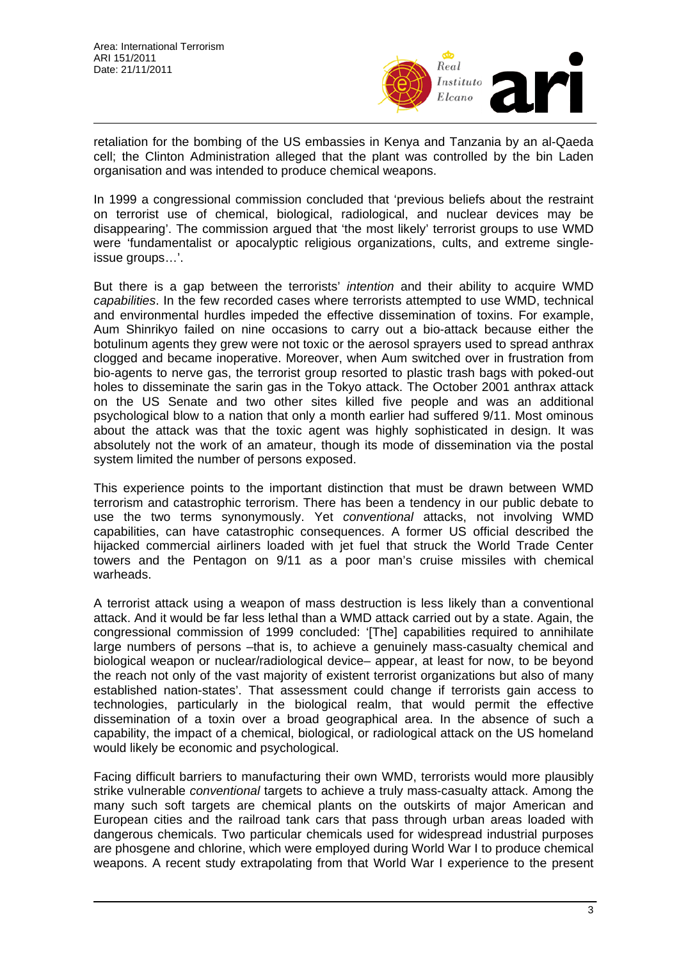

retaliation for the bombing of the US embassies in Kenya and Tanzania by an al-Qaeda cell; the Clinton Administration alleged that the plant was controlled by the bin Laden organisation and was intended to produce chemical weapons.

In 1999 a congressional commission concluded that 'previous beliefs about the restraint on terrorist use of chemical, biological, radiological, and nuclear devices may be disappearing'. The commission argued that 'the most likely' terrorist groups to use WMD were 'fundamentalist or apocalyptic religious organizations, cults, and extreme singleissue groups…'.

But there is a gap between the terrorists' *intention* and their ability to acquire WMD *capabilities*. In the few recorded cases where terrorists attempted to use WMD, technical and environmental hurdles impeded the effective dissemination of toxins. For example, Aum Shinrikyo failed on nine occasions to carry out a bio-attack because either the botulinum agents they grew were not toxic or the aerosol sprayers used to spread anthrax clogged and became inoperative. Moreover, when Aum switched over in frustration from bio-agents to nerve gas, the terrorist group resorted to plastic trash bags with poked-out holes to disseminate the sarin gas in the Tokyo attack. The October 2001 anthrax attack on the US Senate and two other sites killed five people and was an additional psychological blow to a nation that only a month earlier had suffered 9/11. Most ominous about the attack was that the toxic agent was highly sophisticated in design. It was absolutely not the work of an amateur, though its mode of dissemination via the postal system limited the number of persons exposed.

This experience points to the important distinction that must be drawn between WMD terrorism and catastrophic terrorism. There has been a tendency in our public debate to use the two terms synonymously. Yet *conventional* attacks, not involving WMD capabilities, can have catastrophic consequences. A former US official described the hijacked commercial airliners loaded with jet fuel that struck the World Trade Center towers and the Pentagon on 9/11 as a poor man's cruise missiles with chemical warheads.

A terrorist attack using a weapon of mass destruction is less likely than a conventional attack. And it would be far less lethal than a WMD attack carried out by a state. Again, the congressional commission of 1999 concluded: '[The] capabilities required to annihilate large numbers of persons -that is, to achieve a genuinely mass-casualty chemical and biological weapon or nuclear/radiological device– appear, at least for now, to be beyond the reach not only of the vast majority of existent terrorist organizations but also of many established nation-states'. That assessment could change if terrorists gain access to technologies, particularly in the biological realm, that would permit the effective dissemination of a toxin over a broad geographical area. In the absence of such a capability, the impact of a chemical, biological, or radiological attack on the US homeland would likely be economic and psychological.

Facing difficult barriers to manufacturing their own WMD, terrorists would more plausibly strike vulnerable *conventional* targets to achieve a truly mass-casualty attack. Among the many such soft targets are chemical plants on the outskirts of major American and European cities and the railroad tank cars that pass through urban areas loaded with dangerous chemicals. Two particular chemicals used for widespread industrial purposes are phosgene and chlorine, which were employed during World War I to produce chemical weapons. A recent study extrapolating from that World War I experience to the present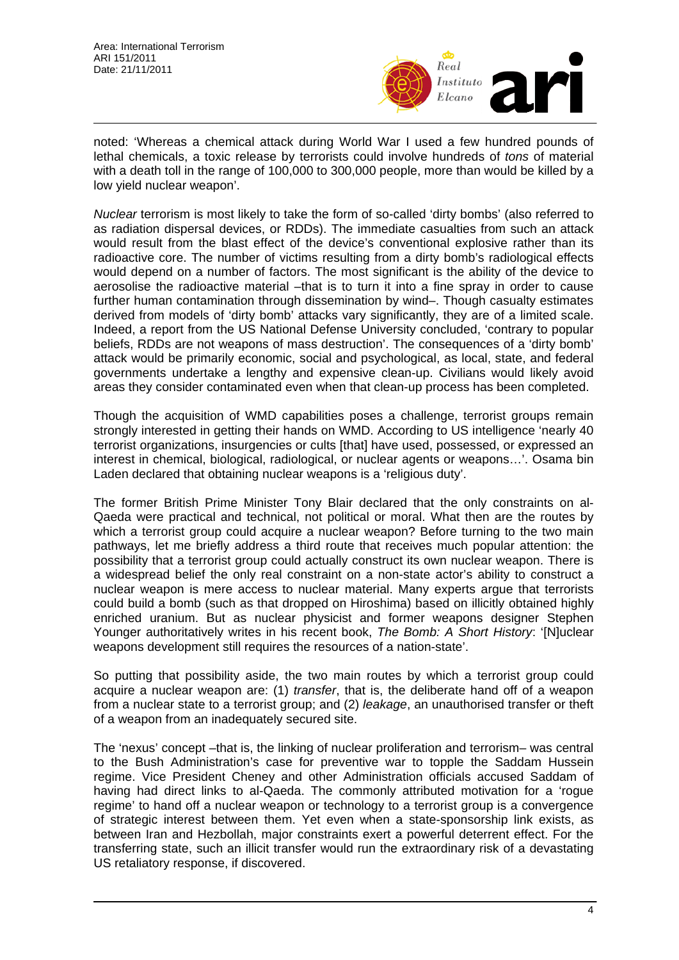

noted: 'Whereas a chemical attack during World War I used a few hundred pounds of lethal chemicals, a toxic release by terrorists could involve hundreds of *tons* of material with a death toll in the range of 100,000 to 300,000 people, more than would be killed by a low yield nuclear weapon'.

*Nuclear* terrorism is most likely to take the form of so-called 'dirty bombs' (also referred to as radiation dispersal devices, or RDDs). The immediate casualties from such an attack would result from the blast effect of the device's conventional explosive rather than its radioactive core. The number of victims resulting from a dirty bomb's radiological effects would depend on a number of factors. The most significant is the ability of the device to aerosolise the radioactive material –that is to turn it into a fine spray in order to cause further human contamination through dissemination by wind–. Though casualty estimates derived from models of 'dirty bomb' attacks vary significantly, they are of a limited scale. Indeed, a report from the US National Defense University concluded, 'contrary to popular beliefs, RDDs are not weapons of mass destruction'. The consequences of a 'dirty bomb' attack would be primarily economic, social and psychological, as local, state, and federal governments undertake a lengthy and expensive clean-up. Civilians would likely avoid areas they consider contaminated even when that clean-up process has been completed.

Though the acquisition of WMD capabilities poses a challenge, terrorist groups remain strongly interested in getting their hands on WMD. According to US intelligence 'nearly 40 terrorist organizations, insurgencies or cults [that] have used, possessed, or expressed an interest in chemical, biological, radiological, or nuclear agents or weapons…'. Osama bin Laden declared that obtaining nuclear weapons is a 'religious duty'.

The former British Prime Minister Tony Blair declared that the only constraints on al-Qaeda were practical and technical, not political or moral. What then are the routes by which a terrorist group could acquire a nuclear weapon? Before turning to the two main pathways, let me briefly address a third route that receives much popular attention: the possibility that a terrorist group could actually construct its own nuclear weapon. There is a widespread belief the only real constraint on a non-state actor's ability to construct a nuclear weapon is mere access to nuclear material. Many experts argue that terrorists could build a bomb (such as that dropped on Hiroshima) based on illicitly obtained highly enriched uranium. But as nuclear physicist and former weapons designer Stephen Younger authoritatively writes in his recent book, *The Bomb: A Short History*: '[N]uclear weapons development still requires the resources of a nation-state'.

So putting that possibility aside, the two main routes by which a terrorist group could acquire a nuclear weapon are: (1) *transfer*, that is, the deliberate hand off of a weapon from a nuclear state to a terrorist group; and (2) *leakage*, an unauthorised transfer or theft of a weapon from an inadequately secured site.

The 'nexus' concept –that is, the linking of nuclear proliferation and terrorism– was central to the Bush Administration's case for preventive war to topple the Saddam Hussein regime. Vice President Cheney and other Administration officials accused Saddam of having had direct links to al-Qaeda. The commonly attributed motivation for a 'rogue regime' to hand off a nuclear weapon or technology to a terrorist group is a convergence of strategic interest between them. Yet even when a state-sponsorship link exists, as between Iran and Hezbollah, major constraints exert a powerful deterrent effect. For the transferring state, such an illicit transfer would run the extraordinary risk of a devastating US retaliatory response, if discovered.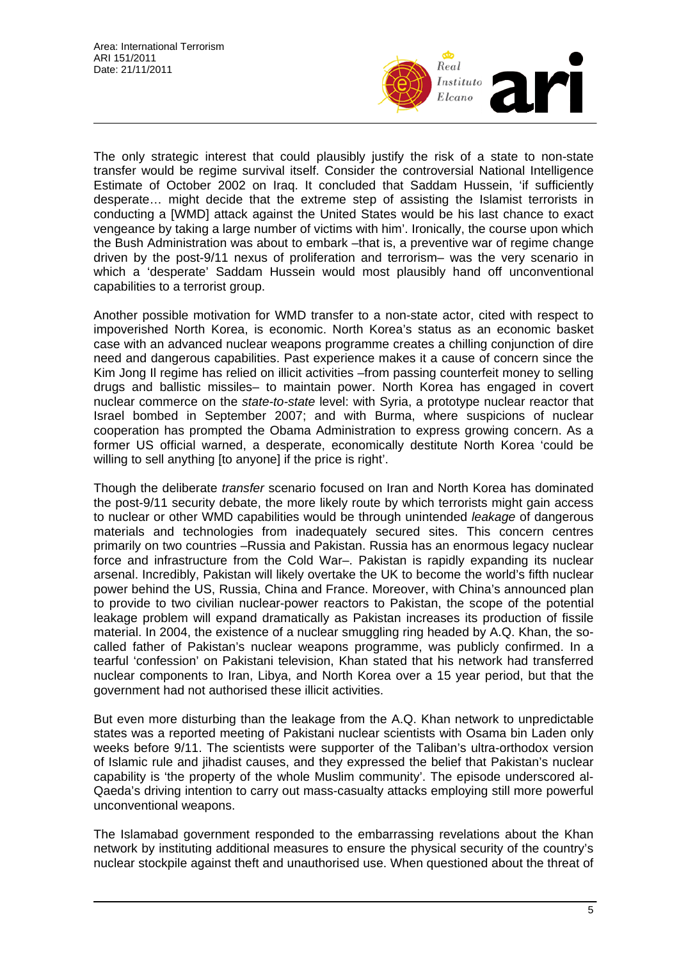

The only strategic interest that could plausibly justify the risk of a state to non-state transfer would be regime survival itself. Consider the controversial National Intelligence Estimate of October 2002 on Iraq. It concluded that Saddam Hussein, 'if sufficiently desperate… might decide that the extreme step of assisting the Islamist terrorists in conducting a [WMD] attack against the United States would be his last chance to exact vengeance by taking a large number of victims with him'. Ironically, the course upon which the Bush Administration was about to embark –that is, a preventive war of regime change driven by the post-9/11 nexus of proliferation and terrorism– was the very scenario in which a 'desperate' Saddam Hussein would most plausibly hand off unconventional capabilities to a terrorist group.

Another possible motivation for WMD transfer to a non-state actor, cited with respect to impoverished North Korea, is economic. North Korea's status as an economic basket case with an advanced nuclear weapons programme creates a chilling conjunction of dire need and dangerous capabilities. Past experience makes it a cause of concern since the Kim Jong Il regime has relied on illicit activities –from passing counterfeit money to selling drugs and ballistic missiles– to maintain power. North Korea has engaged in covert nuclear commerce on the *state-to-state* level: with Syria, a prototype nuclear reactor that Israel bombed in September 2007; and with Burma, where suspicions of nuclear cooperation has prompted the Obama Administration to express growing concern. As a former US official warned, a desperate, economically destitute North Korea 'could be willing to sell anything [to anyone] if the price is right'.

Though the deliberate *transfer* scenario focused on Iran and North Korea has dominated the post-9/11 security debate, the more likely route by which terrorists might gain access to nuclear or other WMD capabilities would be through unintended *leakage* of dangerous materials and technologies from inadequately secured sites. This concern centres primarily on two countries –Russia and Pakistan. Russia has an enormous legacy nuclear force and infrastructure from the Cold War–. Pakistan is rapidly expanding its nuclear arsenal. Incredibly, Pakistan will likely overtake the UK to become the world's fifth nuclear power behind the US, Russia, China and France. Moreover, with China's announced plan to provide to two civilian nuclear-power reactors to Pakistan, the scope of the potential leakage problem will expand dramatically as Pakistan increases its production of fissile material. In 2004, the existence of a nuclear smuggling ring headed by A.Q. Khan, the socalled father of Pakistan's nuclear weapons programme, was publicly confirmed. In a tearful 'confession' on Pakistani television, Khan stated that his network had transferred nuclear components to Iran, Libya, and North Korea over a 15 year period, but that the government had not authorised these illicit activities.

But even more disturbing than the leakage from the A.Q. Khan network to unpredictable states was a reported meeting of Pakistani nuclear scientists with Osama bin Laden only weeks before 9/11. The scientists were supporter of the Taliban's ultra-orthodox version of Islamic rule and jihadist causes, and they expressed the belief that Pakistan's nuclear capability is 'the property of the whole Muslim community'. The episode underscored al-Qaeda's driving intention to carry out mass-casualty attacks employing still more powerful unconventional weapons.

The Islamabad government responded to the embarrassing revelations about the Khan network by instituting additional measures to ensure the physical security of the country's nuclear stockpile against theft and unauthorised use. When questioned about the threat of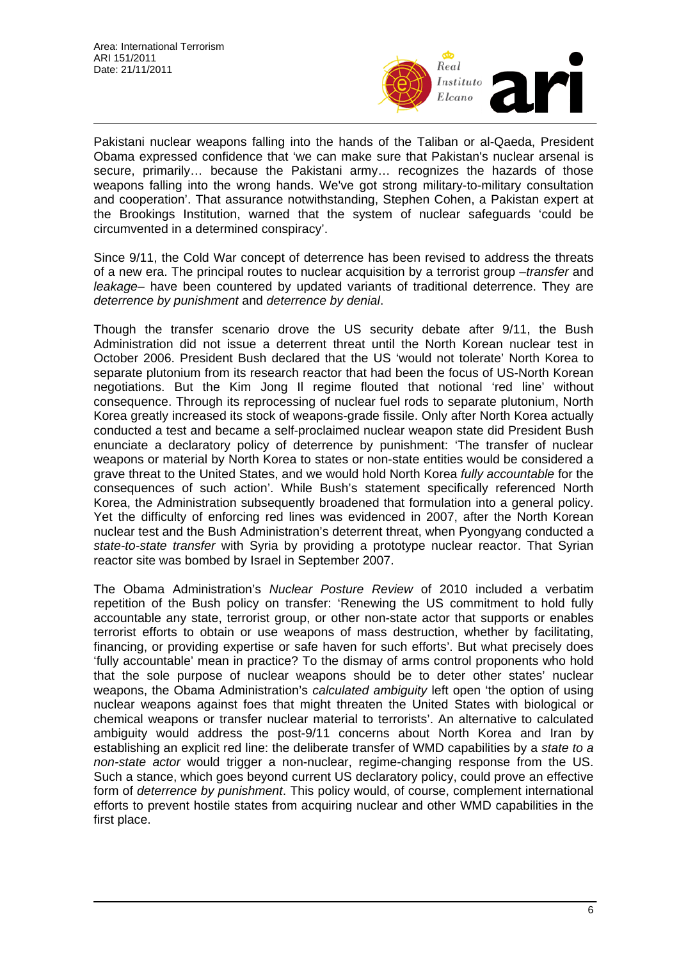

Pakistani nuclear weapons falling into the hands of the Taliban or al-Qaeda, President Obama expressed confidence that 'we can make sure that Pakistan's nuclear arsenal is secure, primarily… because the Pakistani army… recognizes the hazards of those weapons falling into the wrong hands. We've got strong military-to-military consultation and cooperation'. That assurance notwithstanding, Stephen Cohen, a Pakistan expert at the Brookings Institution, warned that the system of nuclear safeguards 'could be circumvented in a determined conspiracy'.

Since 9/11, the Cold War concept of deterrence has been revised to address the threats of a new era. The principal routes to nuclear acquisition by a terrorist group –*transfer* and *leakage*– have been countered by updated variants of traditional deterrence. They are *deterrence by punishment* and *deterrence by denial*.

Though the transfer scenario drove the US security debate after 9/11, the Bush Administration did not issue a deterrent threat until the North Korean nuclear test in October 2006. President Bush declared that the US 'would not tolerate' North Korea to separate plutonium from its research reactor that had been the focus of US-North Korean negotiations. But the Kim Jong Il regime flouted that notional 'red line' without consequence. Through its reprocessing of nuclear fuel rods to separate plutonium, North Korea greatly increased its stock of weapons-grade fissile. Only after North Korea actually conducted a test and became a self-proclaimed nuclear weapon state did President Bush enunciate a declaratory policy of deterrence by punishment: 'The transfer of nuclear weapons or material by North Korea to states or non-state entities would be considered a grave threat to the United States, and we would hold North Korea *fully accountable* for the consequences of such action'. While Bush's statement specifically referenced North Korea, the Administration subsequently broadened that formulation into a general policy. Yet the difficulty of enforcing red lines was evidenced in 2007, after the North Korean nuclear test and the Bush Administration's deterrent threat, when Pyongyang conducted a *state-to-state transfer* with Syria by providing a prototype nuclear reactor. That Syrian reactor site was bombed by Israel in September 2007.

The Obama Administration's *Nuclear Posture Review* of 2010 included a verbatim repetition of the Bush policy on transfer: 'Renewing the US commitment to hold fully accountable any state, terrorist group, or other non-state actor that supports or enables terrorist efforts to obtain or use weapons of mass destruction, whether by facilitating, financing, or providing expertise or safe haven for such efforts'. But what precisely does 'fully accountable' mean in practice? To the dismay of arms control proponents who hold that the sole purpose of nuclear weapons should be to deter other states' nuclear weapons, the Obama Administration's *calculated ambiguity* left open 'the option of using nuclear weapons against foes that might threaten the United States with biological or chemical weapons or transfer nuclear material to terrorists'. An alternative to calculated ambiguity would address the post-9/11 concerns about North Korea and Iran by establishing an explicit red line: the deliberate transfer of WMD capabilities by a *state to a non-state actor* would trigger a non-nuclear, regime-changing response from the US. Such a stance, which goes beyond current US declaratory policy, could prove an effective form of *deterrence by punishment*. This policy would, of course, complement international efforts to prevent hostile states from acquiring nuclear and other WMD capabilities in the first place.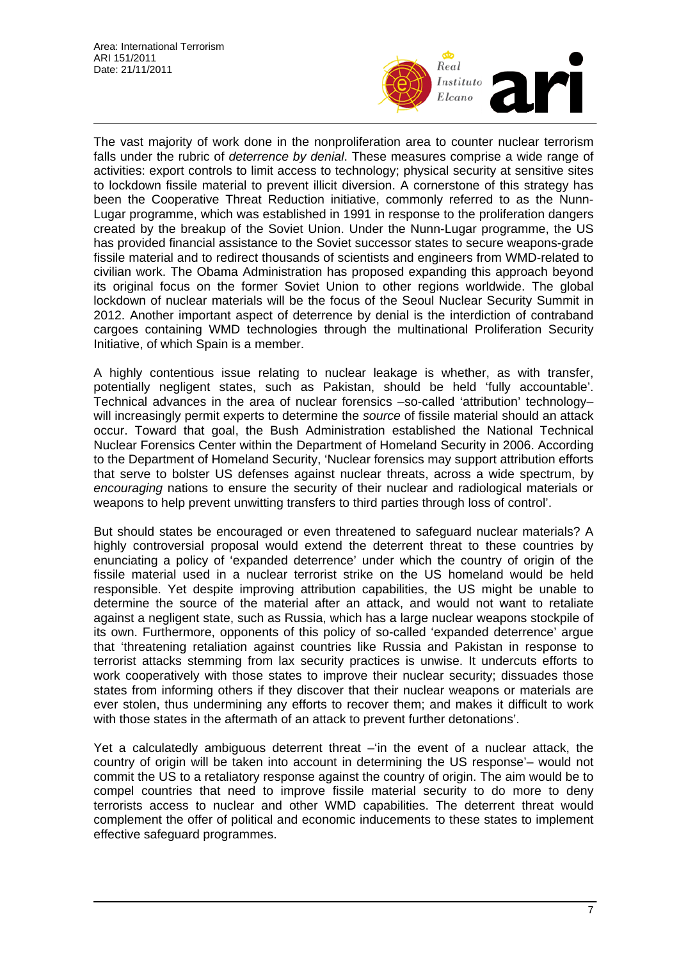

The vast majority of work done in the nonproliferation area to counter nuclear terrorism falls under the rubric of *deterrence by denial*. These measures comprise a wide range of activities: export controls to limit access to technology; physical security at sensitive sites to lockdown fissile material to prevent illicit diversion. A cornerstone of this strategy has been the Cooperative Threat Reduction initiative, commonly referred to as the Nunn-Lugar programme, which was established in 1991 in response to the proliferation dangers created by the breakup of the Soviet Union. Under the Nunn-Lugar programme, the US has provided financial assistance to the Soviet successor states to secure weapons-grade fissile material and to redirect thousands of scientists and engineers from WMD-related to civilian work. The Obama Administration has proposed expanding this approach beyond its original focus on the former Soviet Union to other regions worldwide. The global lockdown of nuclear materials will be the focus of the Seoul Nuclear Security Summit in 2012. Another important aspect of deterrence by denial is the interdiction of contraband cargoes containing WMD technologies through the multinational Proliferation Security Initiative, of which Spain is a member.

A highly contentious issue relating to nuclear leakage is whether, as with transfer, potentially negligent states, such as Pakistan, should be held 'fully accountable'. Technical advances in the area of nuclear forensics –so-called 'attribution' technology– will increasingly permit experts to determine the *source* of fissile material should an attack occur. Toward that goal, the Bush Administration established the National Technical Nuclear Forensics Center within the Department of Homeland Security in 2006. According to the Department of Homeland Security, 'Nuclear forensics may support attribution efforts that serve to bolster US defenses against nuclear threats, across a wide spectrum, by *encouraging* nations to ensure the security of their nuclear and radiological materials or weapons to help prevent unwitting transfers to third parties through loss of control'.

But should states be encouraged or even threatened to safeguard nuclear materials? A highly controversial proposal would extend the deterrent threat to these countries by enunciating a policy of 'expanded deterrence' under which the country of origin of the fissile material used in a nuclear terrorist strike on the US homeland would be held responsible. Yet despite improving attribution capabilities, the US might be unable to determine the source of the material after an attack, and would not want to retaliate against a negligent state, such as Russia, which has a large nuclear weapons stockpile of its own. Furthermore, opponents of this policy of so-called 'expanded deterrence' argue that 'threatening retaliation against countries like Russia and Pakistan in response to terrorist attacks stemming from lax security practices is unwise. It undercuts efforts to work cooperatively with those states to improve their nuclear security; dissuades those states from informing others if they discover that their nuclear weapons or materials are ever stolen, thus undermining any efforts to recover them; and makes it difficult to work with those states in the aftermath of an attack to prevent further detonations'.

Yet a calculatedly ambiguous deterrent threat –'in the event of a nuclear attack, the country of origin will be taken into account in determining the US response'– would not commit the US to a retaliatory response against the country of origin. The aim would be to compel countries that need to improve fissile material security to do more to deny terrorists access to nuclear and other WMD capabilities. The deterrent threat would complement the offer of political and economic inducements to these states to implement effective safeguard programmes.